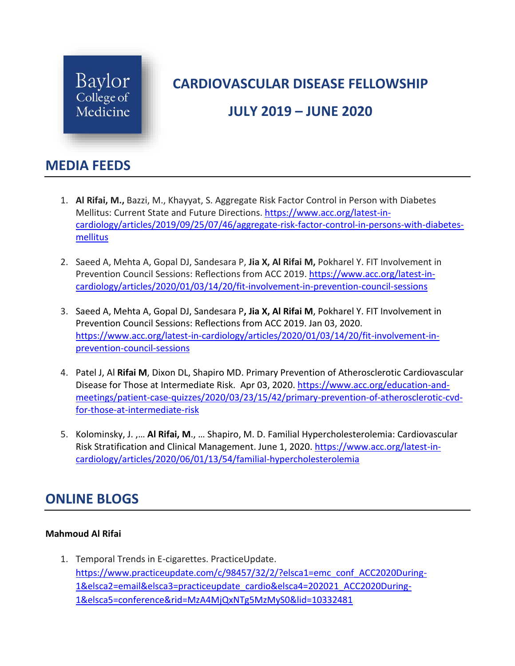

# **CARDIOVASCULAR DISEASE FELLOWSHIP**

## **JULY 2019 – JUNE 2020**

### **MEDIA FEEDS**

- 1. **Al Rifai, M.,** Bazzi, M., Khayyat, S. Aggregate Risk Factor Control in Person with Diabetes Mellitus: Current State and Future Directions. [https://www.acc.org/latest-in](https://www.acc.org/latest-in-cardiology/articles/2019/09/25/07/46/aggregate-risk-factor-control-in-persons-with-diabetes-mellitus)[cardiology/articles/2019/09/25/07/46/aggregate-risk-factor-control-in-persons-with-diabetes](https://www.acc.org/latest-in-cardiology/articles/2019/09/25/07/46/aggregate-risk-factor-control-in-persons-with-diabetes-mellitus)[mellitus](https://www.acc.org/latest-in-cardiology/articles/2019/09/25/07/46/aggregate-risk-factor-control-in-persons-with-diabetes-mellitus)
- 2. Saeed A, Mehta A, Gopal DJ, Sandesara P, **Jia X, Al Rifai M,** Pokharel Y. FIT Involvement in Prevention Council Sessions: Reflections from ACC 2019. [https://www.acc.org/latest-in](https://www.acc.org/latest-in-cardiology/articles/2020/01/03/14/20/fit-involvement-in-prevention-council-sessions)[cardiology/articles/2020/01/03/14/20/fit-involvement-in-prevention-council-sessions](https://www.acc.org/latest-in-cardiology/articles/2020/01/03/14/20/fit-involvement-in-prevention-council-sessions)
- 3. Saeed A, Mehta A, Gopal DJ, Sandesara P**, Jia X, Al Rifai M**, Pokharel Y. FIT Involvement in Prevention Council Sessions: Reflections from ACC 2019. Jan 03, 2020. [https://www.acc.org/latest-in-cardiology/articles/2020/01/03/14/20/fit-involvement-in](https://www.acc.org/latest-in-cardiology/articles/2020/01/03/14/20/fit-involvement-in-prevention-council-sessions)[prevention-council-sessions](https://www.acc.org/latest-in-cardiology/articles/2020/01/03/14/20/fit-involvement-in-prevention-council-sessions)
- 4. Patel J, Al **Rifai M**, Dixon DL, Shapiro MD. Primary Prevention of Atherosclerotic Cardiovascular Disease for Those at Intermediate Risk. Apr 03, 2020[. https://www.acc.org/education-and](https://www.acc.org/education-and-meetings/patient-case-quizzes/2020/03/23/15/42/primary-prevention-of-atherosclerotic-cvd-for-those-at-intermediate-risk)[meetings/patient-case-quizzes/2020/03/23/15/42/primary-prevention-of-atherosclerotic-cvd](https://www.acc.org/education-and-meetings/patient-case-quizzes/2020/03/23/15/42/primary-prevention-of-atherosclerotic-cvd-for-those-at-intermediate-risk)[for-those-at-intermediate-risk](https://www.acc.org/education-and-meetings/patient-case-quizzes/2020/03/23/15/42/primary-prevention-of-atherosclerotic-cvd-for-those-at-intermediate-risk)
- 5. Kolominsky, J. ,… **Al Rifai, M**., … Shapiro, M. D. Familial Hypercholesterolemia: Cardiovascular Risk Stratification and Clinical Management. June 1, 2020. [https://www.acc.org/latest-in](https://www.acc.org/latest-in-cardiology/articles/2020/06/01/13/54/familial-hypercholesterolemia)[cardiology/articles/2020/06/01/13/54/familial-hypercholesterolemia](https://www.acc.org/latest-in-cardiology/articles/2020/06/01/13/54/familial-hypercholesterolemia)

## **ONLINE BLOGS**

### **Mahmoud Al Rifai**

1. Temporal Trends in E-cigarettes. PracticeUpdate. [https://www.practiceupdate.com/c/98457/32/2/?elsca1=emc\\_conf\\_ACC2020During-](https://www.practiceupdate.com/c/98457/32/2/?elsca1=emc_conf_ACC2020During-1&elsca2=email&elsca3=practiceupdate_cardio&elsca4=202021_ACC2020During-1&elsca5=conference&rid=MzA4MjQxNTg5MzMyS0&lid=10332481)[1&elsca2=email&elsca3=practiceupdate\\_cardio&elsca4=202021\\_ACC2020During-](https://www.practiceupdate.com/c/98457/32/2/?elsca1=emc_conf_ACC2020During-1&elsca2=email&elsca3=practiceupdate_cardio&elsca4=202021_ACC2020During-1&elsca5=conference&rid=MzA4MjQxNTg5MzMyS0&lid=10332481)[1&elsca5=conference&rid=MzA4MjQxNTg5MzMyS0&lid=10332481](https://www.practiceupdate.com/c/98457/32/2/?elsca1=emc_conf_ACC2020During-1&elsca2=email&elsca3=practiceupdate_cardio&elsca4=202021_ACC2020During-1&elsca5=conference&rid=MzA4MjQxNTg5MzMyS0&lid=10332481)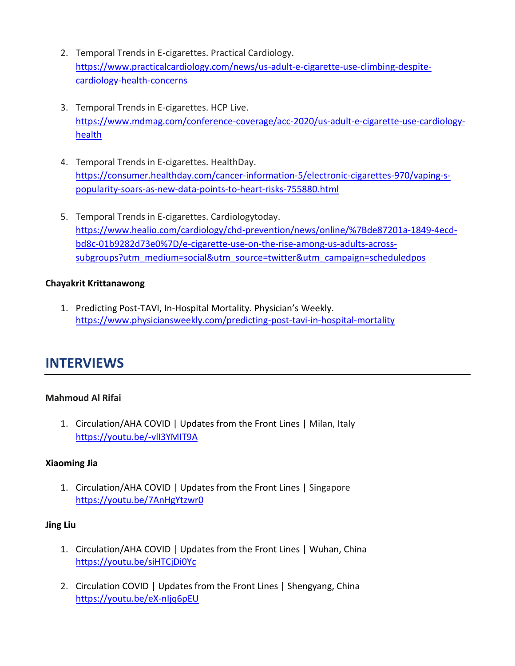- 2. Temporal Trends in E-cigarettes. Practical Cardiology. [https://www.practicalcardiology.com/news/us-adult-e-cigarette-use-climbing-despite](https://www.practicalcardiology.com/news/us-adult-e-cigarette-use-climbing-despite-cardiology-health-concerns)[cardiology-health-concerns](https://www.practicalcardiology.com/news/us-adult-e-cigarette-use-climbing-despite-cardiology-health-concerns)
- 3. Temporal Trends in E-cigarettes. HCP Live. [https://www.mdmag.com/conference-coverage/acc-2020/us-adult-e-cigarette-use-cardiology](https://www.mdmag.com/conference-coverage/acc-2020/us-adult-e-cigarette-use-cardiology-health)[health](https://www.mdmag.com/conference-coverage/acc-2020/us-adult-e-cigarette-use-cardiology-health)
- 4. Temporal Trends in E-cigarettes. HealthDay. [https://consumer.healthday.com/cancer-information-5/electronic-cigarettes-970/vaping-s](https://consumer.healthday.com/cancer-information-5/electronic-cigarettes-970/vaping-s-popularity-soars-as-new-data-points-to-heart-risks-755880.html)[popularity-soars-as-new-data-points-to-heart-risks-755880.html](https://consumer.healthday.com/cancer-information-5/electronic-cigarettes-970/vaping-s-popularity-soars-as-new-data-points-to-heart-risks-755880.html)
- 5. Temporal Trends in E-cigarettes. Cardiologytoday. [https://www.healio.com/cardiology/chd-prevention/news/online/%7Bde87201a-1849-4ecd](https://www.healio.com/cardiology/chd-prevention/news/online/%7Bde87201a-1849-4ecd-bd8c-01b9282d73e0%7D/e-cigarette-use-on-the-rise-among-us-adults-across-subgroups?utm_medium=social&utm_source=twitter&utm_campaign=scheduledpos)[bd8c-01b9282d73e0%7D/e-cigarette-use-on-the-rise-among-us-adults-across](https://www.healio.com/cardiology/chd-prevention/news/online/%7Bde87201a-1849-4ecd-bd8c-01b9282d73e0%7D/e-cigarette-use-on-the-rise-among-us-adults-across-subgroups?utm_medium=social&utm_source=twitter&utm_campaign=scheduledpos)[subgroups?utm\\_medium=social&utm\\_source=twitter&utm\\_campaign=scheduledpos](https://www.healio.com/cardiology/chd-prevention/news/online/%7Bde87201a-1849-4ecd-bd8c-01b9282d73e0%7D/e-cigarette-use-on-the-rise-among-us-adults-across-subgroups?utm_medium=social&utm_source=twitter&utm_campaign=scheduledpos)

### **Chayakrit Krittanawong**

1. Predicting Post-TAVI, In-Hospital Mortality. Physician's Weekly. <https://www.physiciansweekly.com/predicting-post-tavi-in-hospital-mortality>

### **INTERVIEWS**

### **Mahmoud Al Rifai**

1. Circulation/AHA COVID | Updates from the Front Lines | Milan, Italy <https://youtu.be/-vlI3YMIT9A>

#### **Xiaoming Jia**

1. Circulation/AHA COVID | Updates from the Front Lines | Singapore <https://youtu.be/7AnHgYtzwr0>

#### **Jing Liu**

- 1. Circulation/AHA COVID | Updates from the Front Lines | Wuhan, China <https://youtu.be/siHTCjDi0Yc>
- 2. Circulation COVID | Updates from the Front Lines | Shengyang, China <https://youtu.be/eX-nIjq6pEU>